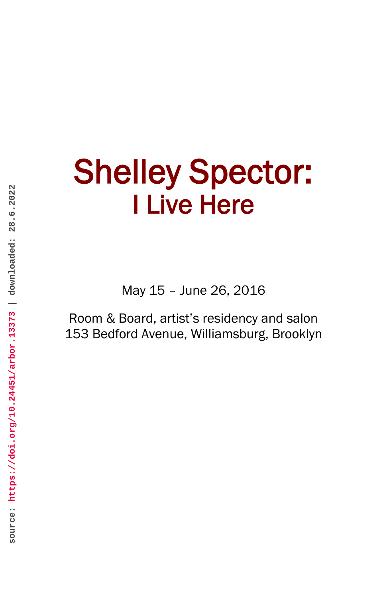# Shelley Spector: I Live Here

May 15 – June 26, 2016

#### Room & Board, artist's residency and salon 153 Bedford Avenue, Williamsburg, Brooklyn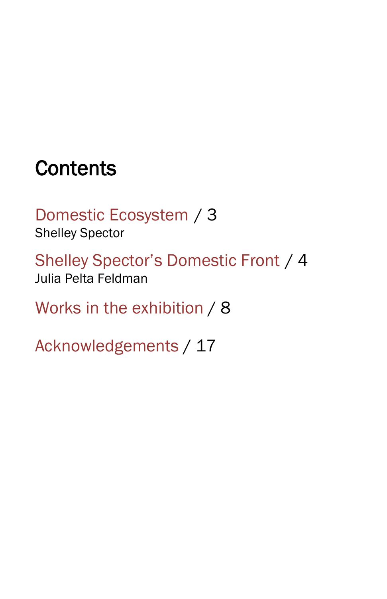### **Contents**

Domestic Ecosystem / 3 Shelley Spector

Shelley Spector's Domestic Front / 4 Julia Pelta Feldman

Works in the exhibition / 8

Acknowledgements / 17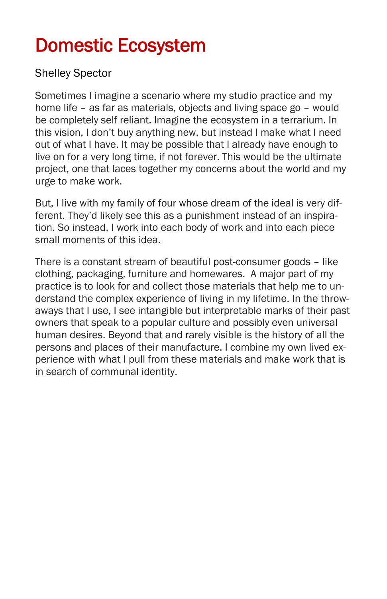### Domestic Ecosystem

#### Shelley Spector

Sometimes I imagine a scenario where my studio practice and my home life – as far as materials, objects and living space go – would be completely self reliant. Imagine the ecosystem in a terrarium. In this vision, I don't buy anything new, but instead I make what I need out of what I have. It may be possible that I already have enough to live on for a very long time, if not forever. This would be the ultimate project, one that laces together my concerns about the world and my urge to make work.

But, I live with my family of four whose dream of the ideal is very different. They'd likely see this as a punishment instead of an inspiration. So instead, I work into each body of work and into each piece small moments of this idea.

There is a constant stream of beautiful post-consumer goods – like clothing, packaging, furniture and homewares. A major part of my practice is to look for and collect those materials that help me to understand the complex experience of living in my lifetime. In the throwaways that I use, I see intangible but interpretable marks of their past owners that speak to a popular culture and possibly even universal human desires. Beyond that and rarely visible is the history of all the persons and places of their manufacture. I combine my own lived experience with what I pull from these materials and make work that is in search of communal identity.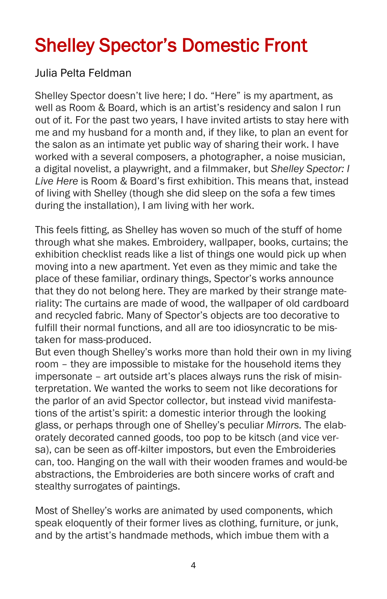### Shelley Spector's Domestic Front

#### Julia Pelta Feldman

Shelley Spector doesn't live here; I do. "Here" is my apartment, as well as Room & Board, which is an artist's residency and salon I run out of it. For the past two years, I have invited artists to stay here with me and my husband for a month and, if they like, to plan an event for the salon as an intimate yet public way of sharing their work. I have worked with a several composers, a photographer, a noise musician, a digital novelist, a playwright, and a filmmaker, but *Shelley Spector: I Live Here* is Room & Board's first exhibition. This means that, instead of living with Shelley (though she did sleep on the sofa a few times during the installation), I am living with her work.

This feels fitting, as Shelley has woven so much of the stuff of home through what she makes. Embroidery, wallpaper, books, curtains; the exhibition checklist reads like a list of things one would pick up when moving into a new apartment. Yet even as they mimic and take the place of these familiar, ordinary things, Spector's works announce that they do not belong here. They are marked by their strange materiality: The curtains are made of wood, the wallpaper of old cardboard and recycled fabric. Many of Spector's objects are too decorative to fulfill their normal functions, and all are too idiosyncratic to be mistaken for mass-produced.

But even though Shelley's works more than hold their own in my living room – they are impossible to mistake for the household items they impersonate – art outside art's places always runs the risk of misinterpretation. We wanted the works to seem not like decorations for the parlor of an avid Spector collector, but instead vivid manifestations of the artist's spirit: a domestic interior through the looking glass, or perhaps through one of Shelley's peculiar *Mirrors.* The elaborately decorated canned goods, too pop to be kitsch (and vice versa), can be seen as off-kilter impostors, but even the Embroideries can, too. Hanging on the wall with their wooden frames and would-be abstractions, the Embroideries are both sincere works of craft and stealthy surrogates of paintings.

Most of Shelley's works are animated by used components, which speak eloquently of their former lives as clothing, furniture, or junk, and by the artist's handmade methods, which imbue them with a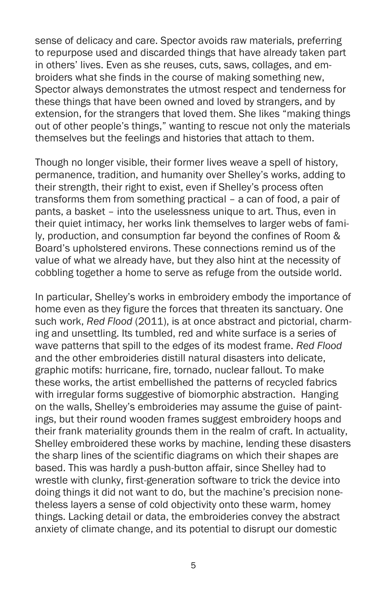sense of delicacy and care. Spector avoids raw materials, preferring to repurpose used and discarded things that have already taken part in others' lives. Even as she reuses, cuts, saws, collages, and embroiders what she finds in the course of making something new, Spector always demonstrates the utmost respect and tenderness for these things that have been owned and loved by strangers, and by extension, for the strangers that loved them. She likes "making things out of other people's things," wanting to rescue not only the materials themselves but the feelings and histories that attach to them.

Though no longer visible, their former lives weave a spell of history, permanence, tradition, and humanity over Shelley's works, adding to their strength, their right to exist, even if Shelley's process often transforms them from something practical – a can of food, a pair of pants, a basket – into the uselessness unique to art. Thus, even in their quiet intimacy, her works link themselves to larger webs of family, production, and consumption far beyond the confines of Room & Board's upholstered environs. These connections remind us of the value of what we already have, but they also hint at the necessity of cobbling together a home to serve as refuge from the outside world.

In particular, Shelley's works in embroidery embody the importance of home even as they figure the forces that threaten its sanctuary. One such work, *Red Flood* (2011), is at once abstract and pictorial, charming and unsettling. Its tumbled, red and white surface is a series of wave patterns that spill to the edges of its modest frame. *Red Flood*  and the other embroideries distill natural disasters into delicate, graphic motifs: hurricane, fire, tornado, nuclear fallout. To make these works, the artist embellished the patterns of recycled fabrics with irregular forms suggestive of biomorphic abstraction. Hanging on the walls, Shelley's embroideries may assume the guise of paintings, but their round wooden frames suggest embroidery hoops and their frank materiality grounds them in the realm of craft. In actuality, Shelley embroidered these works by machine, lending these disasters the sharp lines of the scientific diagrams on which their shapes are based. This was hardly a push-button affair, since Shelley had to wrestle with clunky, first-generation software to trick the device into doing things it did not want to do, but the machine's precision nonetheless layers a sense of cold objectivity onto these warm, homey things. Lacking detail or data, the embroideries convey the abstract anxiety of climate change, and its potential to disrupt our domestic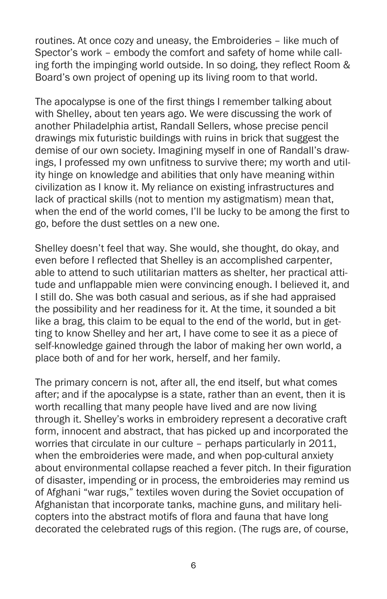routines. At once cozy and uneasy, the Embroideries – like much of Spector's work – embody the comfort and safety of home while calling forth the impinging world outside. In so doing, they reflect Room & Board's own project of opening up its living room to that world.

The apocalypse is one of the first things I remember talking about with Shelley, about ten years ago. We were discussing the work of another Philadelphia artist, Randall Sellers, whose precise pencil drawings mix futuristic buildings with ruins in brick that suggest the demise of our own society. Imagining myself in one of Randall's drawings, I professed my own unfitness to survive there; my worth and utility hinge on knowledge and abilities that only have meaning within civilization as I know it. My reliance on existing infrastructures and lack of practical skills (not to mention my astigmatism) mean that, when the end of the world comes, I'll be lucky to be among the first to go, before the dust settles on a new one.

Shelley doesn't feel that way. She would, she thought, do okay, and even before I reflected that Shelley is an accomplished carpenter, able to attend to such utilitarian matters as shelter, her practical attitude and unflappable mien were convincing enough. I believed it, and I still do. She was both casual and serious, as if she had appraised the possibility and her readiness for it. At the time, it sounded a bit like a brag, this claim to be equal to the end of the world, but in getting to know Shelley and her art, I have come to see it as a piece of self-knowledge gained through the labor of making her own world, a place both of and for her work, herself, and her family.

The primary concern is not, after all, the end itself, but what comes after; and if the apocalypse is a state, rather than an event, then it is worth recalling that many people have lived and are now living through it. Shelley's works in embroidery represent a decorative craft form, innocent and abstract, that has picked up and incorporated the worries that circulate in our culture – perhaps particularly in 2011, when the embroideries were made, and when pop-cultural anxiety about environmental collapse reached a fever pitch. In their figuration of disaster, impending or in process, the embroideries may remind us of Afghani "war rugs," textiles woven during the Soviet occupation of Afghanistan that incorporate tanks, machine guns, and military helicopters into the abstract motifs of flora and fauna that have long decorated the celebrated rugs of this region. (The rugs are, of course,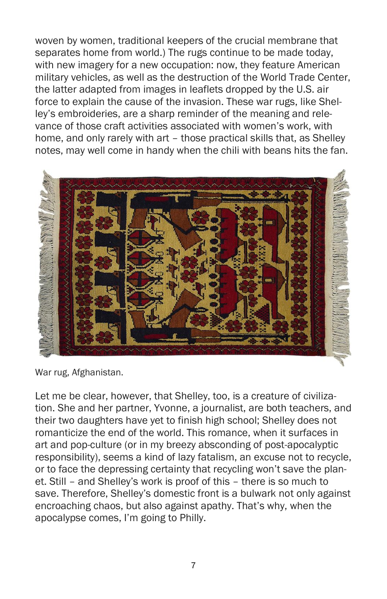woven by women, traditional keepers of the crucial membrane that separates home from world.) The rugs continue to be made today, with new imagery for a new occupation: now, they feature American military vehicles, as well as the destruction of the World Trade Center, the latter adapted from images in leaflets dropped by the U.S. air force to explain the cause of the invasion. These war rugs, like Shelley's embroideries, are a sharp reminder of the meaning and relevance of those craft activities associated with women's work, with home, and only rarely with art – those practical skills that, as Shelley notes, may well come in handy when the chili with beans hits the fan.



War rug, Afghanistan.

Let me be clear, however, that Shelley, too, is a creature of civilization. She and her partner, Yvonne, a journalist, are both teachers, and their two daughters have yet to finish high school; Shelley does not romanticize the end of the world. This romance, when it surfaces in art and pop-culture (or in my breezy absconding of post-apocalyptic responsibility), seems a kind of lazy fatalism, an excuse not to recycle, or to face the depressing certainty that recycling won't save the planet. Still – and Shelley's work is proof of this – there is so much to save. Therefore, Shelley's domestic front is a bulwark not only against encroaching chaos, but also against apathy. That's why, when the apocalypse comes, I'm going to Philly.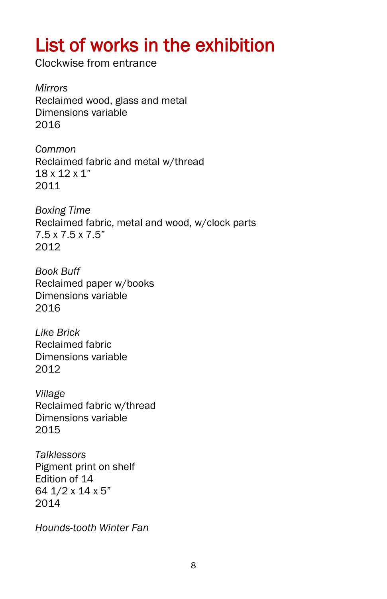### List of works in the exhibition

Clockwise from entrance

*Mirrors* Reclaimed wood, glass and metal Dimensions variable 2016

*Common* Reclaimed fabric and metal w/thread 18 x 12 x 1" 2011

*Boxing Time* Reclaimed fabric, metal and wood, w/clock parts 7.5 x 7.5 x 7.5" 2012

*Book Buff* Reclaimed paper w/books Dimensions variable 2016

*Like Brick*  Reclaimed fabric Dimensions variable 2012

*Village*  Reclaimed fabric w/thread Dimensions variable 2015

*Talklessors* Pigment print on shelf Edition of 14 64 1/2 x 14 x 5" 2014

*Hounds-tooth Winter Fan*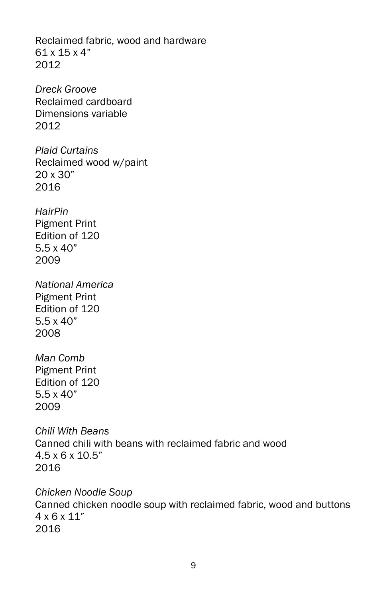Reclaimed fabric, wood and hardware 61 x 15 x 4" 2012

*Dreck Groove*  Reclaimed cardboard Dimensions variable 2012

*Plaid Curtains* Reclaimed wood w/paint 20 x 30" 2016

*HairPin* Pigment Print Edition of 120 5.5 x 40" 2009

*National America*  Pigment Print Edition of 120 5.5 x 40" 2008

*Man Comb*  Pigment Print Edition of 120 5.5 x 40" 2009

*Chili With Beans* Canned chili with beans with reclaimed fabric and wood 4.5 x 6 x 10.5" 2016

*Chicken Noodle Soup* Canned chicken noodle soup with reclaimed fabric, wood and buttons 4 x 6 x 11" 2016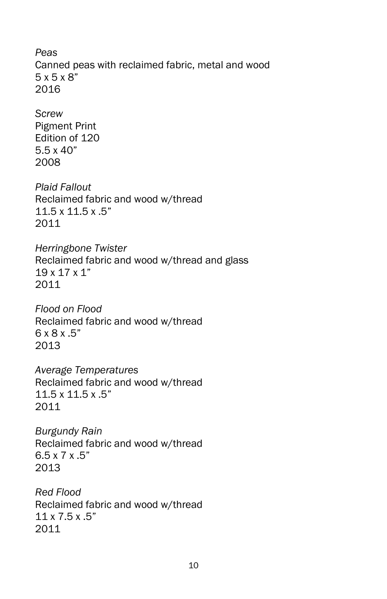*Peas* Canned peas with reclaimed fabric, metal and wood 5 x 5 x 8" 2016 *Screw*  Pigment Print Edition of 120 5.5 x 40" 2008 *Plaid Fallout*

Reclaimed fabric and wood w/thread 11.5 x 11.5 x .5" 2011

*Herringbone Twister* Reclaimed fabric and wood w/thread and glass 19 x 17 x 1" 2011

*Flood on Flood* Reclaimed fabric and wood w/thread 6 x 8 x .5" 2013

*Average Temperatures* Reclaimed fabric and wood w/thread 11.5 x 11.5 x .5" 2011

*Burgundy Rain* Reclaimed fabric and wood w/thread 6.5 x 7 x .5" 2013

*Red Flood* Reclaimed fabric and wood w/thread 11 x 7.5 x .5" 2011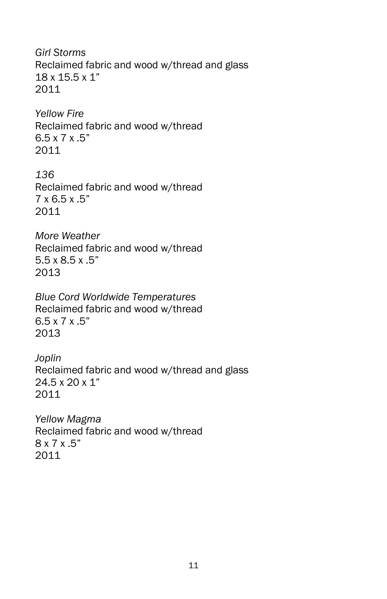*Girl Storms* Reclaimed fabric and wood w/thread and glass 18 x 15.5 x 1" 2011

*Yellow Fire* Reclaimed fabric and wood w/thread 6.5 x 7 x .5" 2011

*136* Reclaimed fabric and wood w/thread 7 x 6.5 x .5" 2011

*More Weather* Reclaimed fabric and wood w/thread 5.5 x 8.5 x .5" 2013

*Blue Cord Worldwide Temperatures* Reclaimed fabric and wood w/thread 6.5 x 7 x .5" 2013

*Joplin* Reclaimed fabric and wood w/thread and glass 24.5 x 20 x 1" 2011

*Yellow Magma* Reclaimed fabric and wood w/thread 8 x 7 x .5" 2011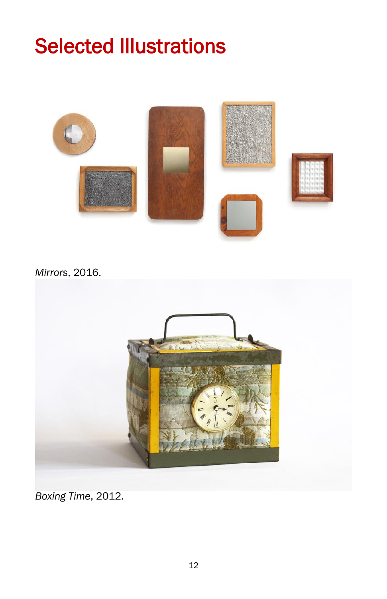## Selected Illustrations



*Mirrors*, 2016.



*Boxing Time*, 2012.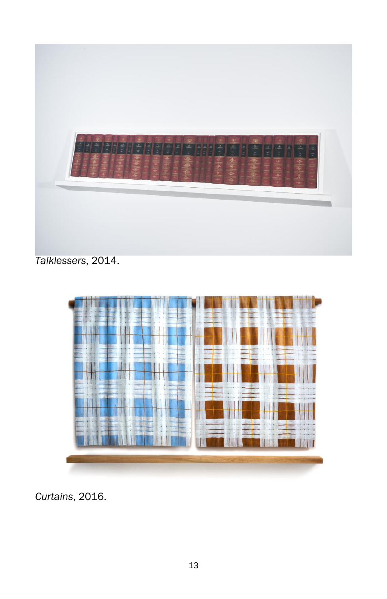

*Talklessers*, 2014.



*Curtains*, 2016.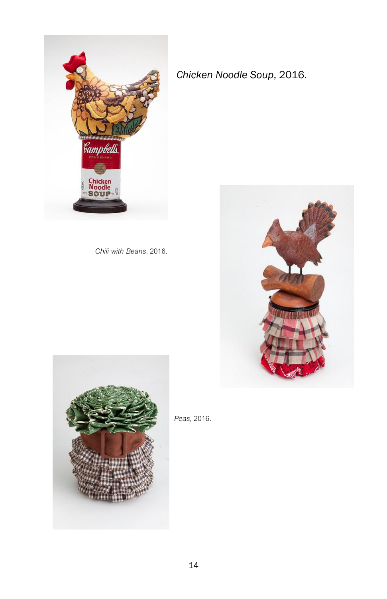

*Chicken Noodle Soup*, 2016.

*Chili with Beans*, 2016.





*Peas*, 2016.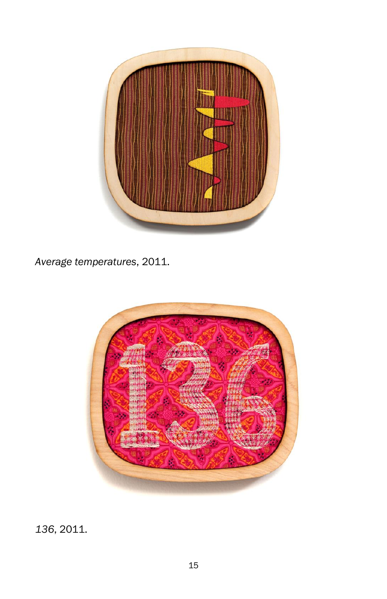

*Average temperatures*, 2011.



, 2011.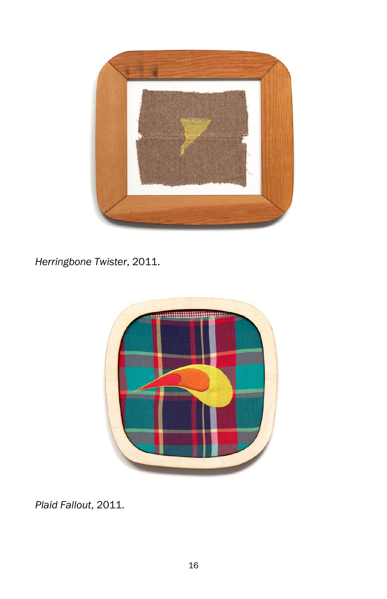

*Herringbone Twister*, 2011.



*Plaid Fallout*, 2011.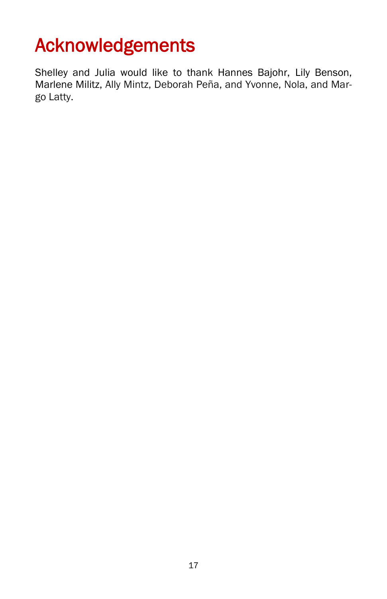#### Acknowledgements

Shelley and Julia would like to thank Hannes Bajohr, Lily Benson, Marlene Militz, Ally Mintz, Deborah Peña, and Yvonne, Nola, and Margo Latty.